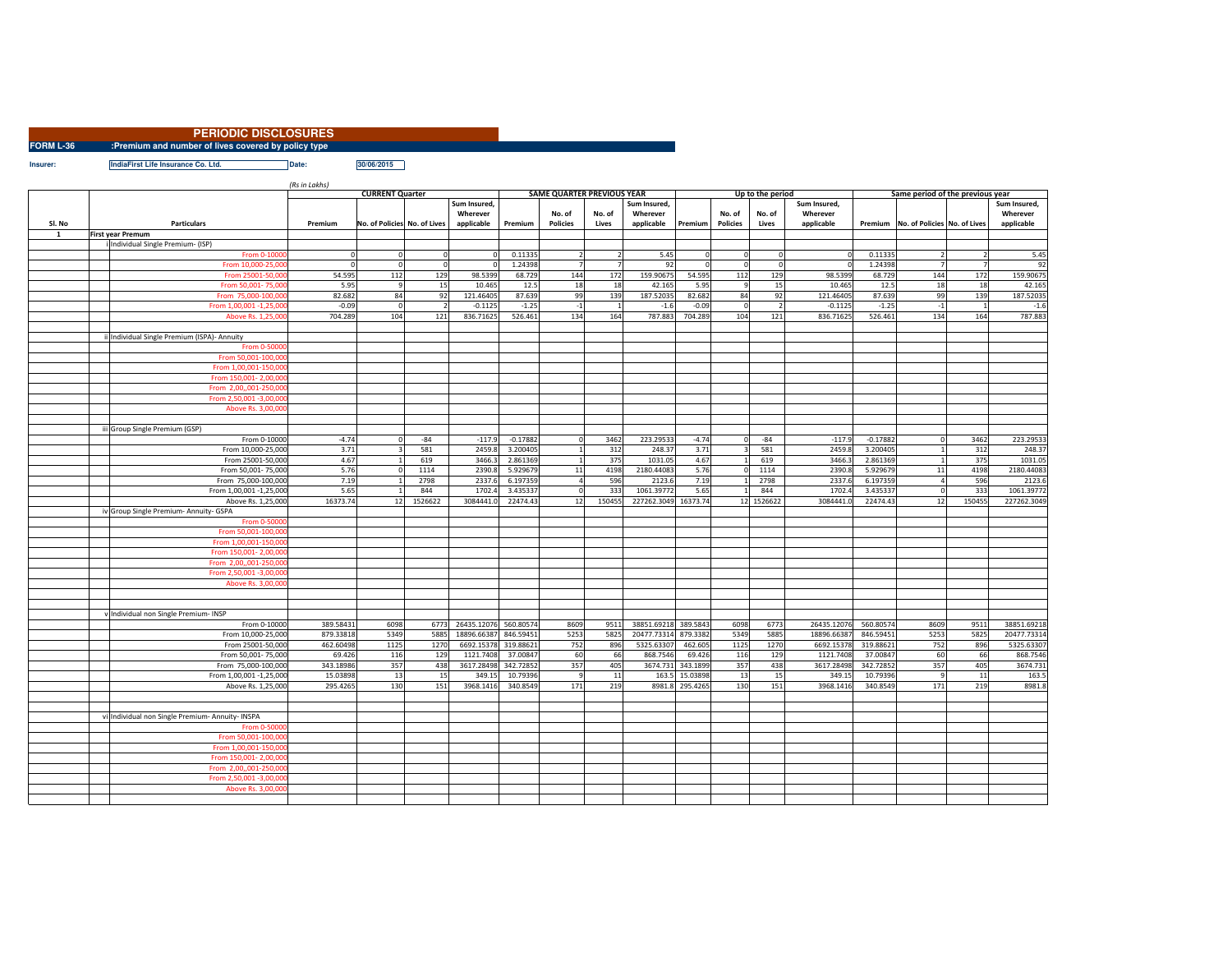|           | <b>PERIODIC DISCLOSURES</b>                         |            |  |
|-----------|-----------------------------------------------------|------------|--|
| FORM L-36 | :Premium and number of lives covered by policy type |            |  |
| Insurer:  | IndiaFirst Life Insurance Co. Ltd.<br>Date:         | 30/06/2015 |  |

*(Rs in Lakhs)*

|              |                                |                                                    | $\mu$ s $\mu$ Lunis) | <b>CURRENT Quarter</b>       |                |                          | <b>SAME QUARTER PREVIOUS YEAR</b> |                 |                |                          |                   |                 | Up to the period |                          |            | Same period of the previous year         |                |                          |
|--------------|--------------------------------|----------------------------------------------------|----------------------|------------------------------|----------------|--------------------------|-----------------------------------|-----------------|----------------|--------------------------|-------------------|-----------------|------------------|--------------------------|------------|------------------------------------------|----------------|--------------------------|
|              |                                |                                                    |                      |                              |                | Sum Insured,<br>Wherever |                                   | No. of          | No. of         | Sum Insured,<br>Wherever |                   | No. of          | No. of           | Sum Insured,<br>Wherever |            |                                          |                | Sum Insured,<br>Wherever |
| SI. No       |                                | <b>Particulars</b>                                 | Premium              | No. of Policies No. of Lives |                | applicable               | Premium                           | <b>Policies</b> | Lives          | applicable               | Premium           | <b>Policies</b> | Lives            | applicable               |            | Premium   No. of Policies   No. of Lives |                | applicable               |
| $\mathbf{1}$ | <b>First year Premum</b>       |                                                    |                      |                              |                |                          |                                   |                 |                |                          |                   |                 |                  |                          |            |                                          |                |                          |
|              |                                | i Individual Single Premium- (ISP)<br>From 0-10000 |                      |                              | $\Omega$       |                          | 0.11335                           | $\overline{2}$  |                | 5.45                     |                   | $^{\circ}$      |                  | $\circ$                  | 0.11335    |                                          |                | 5.45                     |
|              |                                | From 10,000-25,000                                 | $\Omega$             | $^{\circ}$                   | $\overline{0}$ |                          | 1.24398                           | $\overline{7}$  | $\overline{7}$ | 92                       |                   | $^{\circ}$      | $\Omega$         | $\overline{0}$           | 1.24398    | $\overline{7}$                           | $\overline{7}$ | 92                       |
|              |                                | From 25001-50,00                                   | 54.595               | 112                          | 129            | 98.5399                  | 68.729                            | 144             | 172            | 159.90675                | 54.595            | 112             | 129              | 98.5399                  | 68.729     | 144                                      | 172            | 159.90675                |
|              |                                | From 50,001-75,00                                  | 5.95                 | 9                            | 15             | 10.465                   | 12.5                              | 18              | 18             | 42.165                   | 5.95              | $\overline{9}$  | 15               | 10.465                   | 12.5       | 18                                       | 18             | 42.165                   |
|              |                                | From 75,000-100,000                                | 82.682               | 84                           | 92             | 121.46405                | 87.639                            | 99              | 139            | 187.52035                | 82.682            | 84              | 92               | 121.46405                | 87.639     | 99                                       | 139            | 187.52035                |
|              |                                | From 1,00,001 -1,25,00                             | $-0.09$              | $\Omega$                     | $\overline{2}$ | $-0.1125$                | $-1.25$                           | $^{\circ}1$     | $\overline{1}$ | $-1.6$                   | $-0.09$           | $\Omega$        | $\overline{2}$   | $-0.1125$                | $-1.25$    | $-1$                                     | $\overline{1}$ | $-1.6$                   |
|              |                                | Above Rs. 1,25,000                                 | 704.289              | 104                          | 121            | 836.71625                | 526.461                           | 134             | 164            | 787.883                  | 704.289           | 104             | 121              | 836.71625                | 526.461    | 134                                      | 164            | 787.883                  |
|              |                                |                                                    |                      |                              |                |                          |                                   |                 |                |                          |                   |                 |                  |                          |            |                                          |                |                          |
|              |                                | ii Individual Single Premium (ISPA)- Annuity       |                      |                              |                |                          |                                   |                 |                |                          |                   |                 |                  |                          |            |                                          |                |                          |
|              |                                | From 0-5000                                        |                      |                              |                |                          |                                   |                 |                |                          |                   |                 |                  |                          |            |                                          |                |                          |
|              |                                | From 50,001-100,000                                |                      |                              |                |                          |                                   |                 |                |                          |                   |                 |                  |                          |            |                                          |                |                          |
|              |                                | From 1,00,001-150,00                               |                      |                              |                |                          |                                   |                 |                |                          |                   |                 |                  |                          |            |                                          |                |                          |
|              |                                | From 150,001-2,00,00                               |                      |                              |                |                          |                                   |                 |                |                          |                   |                 |                  |                          |            |                                          |                |                          |
|              |                                | From 2,00,,001-250,00                              |                      |                              |                |                          |                                   |                 |                |                          |                   |                 |                  |                          |            |                                          |                |                          |
|              |                                | From 2,50,001 -3,00,000                            |                      |                              |                |                          |                                   |                 |                |                          |                   |                 |                  |                          |            |                                          |                |                          |
|              |                                | Above Rs. 3,00,00                                  |                      |                              |                |                          |                                   |                 |                |                          |                   |                 |                  |                          |            |                                          |                |                          |
|              |                                |                                                    |                      |                              |                |                          |                                   |                 |                |                          |                   |                 |                  |                          |            |                                          |                |                          |
|              | iii Group Single Premium (GSP) |                                                    |                      |                              |                |                          |                                   |                 |                |                          |                   |                 |                  |                          |            |                                          |                |                          |
|              |                                | From 0-10000                                       | $-4.74$              | $\Omega$                     | $-84$          | $-117.9$                 | $-0.17882$                        |                 | 3462           | 223.29533                | $-4.74$           | $\Omega$        | $-84$            | $-117.9$                 | $-0.17882$ | $\mathbf 0$                              | 3462           | 223.29533                |
|              |                                | From 10,000-25,000                                 | 3.71                 | 3                            | 581            | 2459.                    | 3.200405                          |                 | 312            | 248.37                   | 3.71              | 3               | 581              | 2459.8                   | 3.200405   | $\mathbf{1}$                             | 312            | 248.37                   |
|              |                                | From 25001-50,000                                  | 4.67                 |                              | 619            | 3466.                    | 2.861369                          |                 | 375            | 1031.05                  | 4.67              |                 | 619              | 3466.3                   | 2.861369   | $\mathbf{1}$                             | 375            | 1031.05                  |
|              |                                | From 50,001-75,000                                 | 5.76                 | $\Omega$                     | 1114           | 2390.                    | 5.929679                          | $11\,$          | 4198           | 2180.44083               | 5.76              | $\Omega$        | 1114             | 2390.8                   | 5.929679   | 11                                       | 4198           | 2180.44083               |
|              |                                | From 75,000-100,000                                | 7.19                 |                              | 2798           | 2337.                    | 6.197359                          | $\overline{4}$  | 596            | 2123.6                   | 7.19              |                 | 2798             | 2337.6                   | 6.197359   | $\overline{4}$                           | 596            | 2123.6                   |
|              |                                | From 1,00,001 -1,25,000                            | 5.65                 |                              | 844            | 1702.                    | 3.435337                          |                 | 333            | 1061.39772               | 5.65              |                 | 844              | 1702.4                   | 3.435337   | $\mathbf 0$                              | 333            | 1061.39772               |
|              |                                | Above Rs. 1,25,000                                 | 16373.74             | 12                           | 1526622        | 3084441.                 | 22474.43                          | 12              | 150455         | 227262.3049 16373.74     |                   |                 | 12 1526622       | 3084441.0                | 22474.43   | 12                                       | 150455         | 227262.3049              |
|              |                                | iv Group Single Premium- Annuity- GSPA             |                      |                              |                |                          |                                   |                 |                |                          |                   |                 |                  |                          |            |                                          |                |                          |
|              |                                | From 0-5000                                        |                      |                              |                |                          |                                   |                 |                |                          |                   |                 |                  |                          |            |                                          |                |                          |
|              |                                | From 50,001-100,00                                 |                      |                              |                |                          |                                   |                 |                |                          |                   |                 |                  |                          |            |                                          |                |                          |
|              |                                | From 1,00,001-150,00                               |                      |                              |                |                          |                                   |                 |                |                          |                   |                 |                  |                          |            |                                          |                |                          |
|              |                                | From 150,001-2,00,00                               |                      |                              |                |                          |                                   |                 |                |                          |                   |                 |                  |                          |            |                                          |                |                          |
|              |                                | From 2,00,,001-250,00                              |                      |                              |                |                          |                                   |                 |                |                          |                   |                 |                  |                          |            |                                          |                |                          |
|              |                                | From 2,50,001 -3,00,00                             |                      |                              |                |                          |                                   |                 |                |                          |                   |                 |                  |                          |            |                                          |                |                          |
|              |                                | Above Rs. 3,00,00                                  |                      |                              |                |                          |                                   |                 |                |                          |                   |                 |                  |                          |            |                                          |                |                          |
|              |                                |                                                    |                      |                              |                |                          |                                   |                 |                |                          |                   |                 |                  |                          |            |                                          |                |                          |
|              |                                |                                                    |                      |                              |                |                          |                                   |                 |                |                          |                   |                 |                  |                          |            |                                          |                |                          |
|              |                                | v Individual non Single Premium- INSP              |                      |                              |                |                          |                                   |                 |                |                          |                   |                 |                  |                          |            |                                          |                |                          |
|              |                                | From 0-10000                                       | 389.58431            | 6098                         | 6773           | 26435.12076 560.80574    |                                   | 8609            | 9511           | 38851.69218 389.5843     |                   | 6098            | 6773             | 26435.12076              | 560.80574  | 8609                                     | 9511           | 38851.69218              |
|              |                                | From 10,000-25,000                                 | 879.33818            | 5349                         | 5885           | 18896.66387              | 846.59451                         | 5253            | 5825           | 20477.73314 879.3382     |                   | 5349            | 5885             | 18896.66387              | 846.59451  | 5253                                     | 5825           | 20477.73314              |
|              |                                | From 25001-50,000                                  | 462.60498            | 1125                         | 1270           | 6692.15378               | 319.88621                         | 752             | 896            | 5325.63307               | 462.605           | 1125            | 1270             | 6692.15378               | 319.88621  | 752                                      | 896            | 5325.63307               |
|              |                                | From 50,001-75,000                                 | 69.426               | 116                          | 129            | 1121.7408                | 37.00847                          | 60              | 66             | 868.7546                 | 69.426            | 116             | 129              | 1121.7408                | 37.00847   | 60                                       | 66             | 868.7546                 |
|              |                                | From 75,000-100,000                                | 343.18986            | 357                          | 438            | 3617.28498               | 342.72852                         | 357             | 405            |                          | 3674.731 343.1899 | 357             | 438              | 3617.28498               | 342.72852  | 357                                      | 405            | 3674.731                 |
|              |                                | From 1,00,001 -1,25,000                            | 15.03898             | 13                           | 15             | 349.15                   | 10.79396                          | $\mathbf{q}$    | 11             |                          | 163.5 15.03898    | 13              | 15               | 349.15                   | 10.79396   | 9                                        | 11             | 163.5                    |
|              |                                | Above Rs. 1,25,000                                 | 295.4265             | 130                          | 151            | 3968.1416                | 340.8549                          | 171             | 219            |                          | 8981.8 295.4265   | 130             | 151              | 3968.1416                | 340.8549   | 171                                      | 219            | 8981.8                   |
|              |                                |                                                    |                      |                              |                |                          |                                   |                 |                |                          |                   |                 |                  |                          |            |                                          |                |                          |
|              |                                |                                                    |                      |                              |                |                          |                                   |                 |                |                          |                   |                 |                  |                          |            |                                          |                |                          |
|              |                                | vi Individual non Single Premium- Annuity- INSPA   |                      |                              |                |                          |                                   |                 |                |                          |                   |                 |                  |                          |            |                                          |                |                          |
|              |                                | From 0-50000                                       |                      |                              |                |                          |                                   |                 |                |                          |                   |                 |                  |                          |            |                                          |                |                          |
|              |                                | From 50,001-100,000                                |                      |                              |                |                          |                                   |                 |                |                          |                   |                 |                  |                          |            |                                          |                |                          |
|              |                                | From 1,00,001-150,000                              |                      |                              |                |                          |                                   |                 |                |                          |                   |                 |                  |                          |            |                                          |                |                          |
|              |                                | From 150,001-2,00,00                               |                      |                              |                |                          |                                   |                 |                |                          |                   |                 |                  |                          |            |                                          |                |                          |
|              |                                | From 2,00,,001-250,000                             |                      |                              |                |                          |                                   |                 |                |                          |                   |                 |                  |                          |            |                                          |                |                          |
|              |                                | From 2,50,001 -3,00,000                            |                      |                              |                |                          |                                   |                 |                |                          |                   |                 |                  |                          |            |                                          |                |                          |
|              |                                | Above Rs. 3,00,00                                  |                      |                              |                |                          |                                   |                 |                |                          |                   |                 |                  |                          |            |                                          |                |                          |
|              |                                |                                                    |                      |                              |                |                          |                                   |                 |                |                          |                   |                 |                  |                          |            |                                          |                |                          |